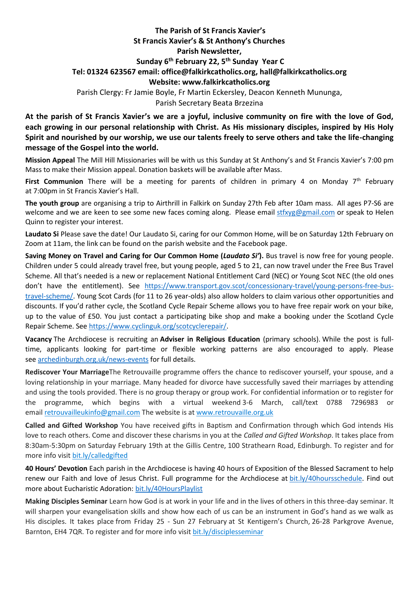## **The Parish of St Francis Xavier's St Francis Xavier's & St Anthony's Churches Parish Newsletter, Sunday 6 th February 22, 5 th Sunday Year C Tel: 01324 623567 email: office@falkirkcatholics.org, [hall@falkirkcatholics.org](mailto:hall@falkirkcatholics.org) Website: [www.falkirkcatholics.org](http://www.falkirkcatholics.org/)**  Parish Clergy: Fr Jamie Boyle, Fr Martin Eckersley, Deacon Kenneth Mununga,

Parish Secretary Beata Brzezina

**At the parish of St Francis Xavier's we are a joyful, inclusive community on fire with the love of God, each growing in our personal relationship with Christ. As His missionary disciples, inspired by His Holy Spirit and nourished by our worship, we use our talents freely to serve others and take the life-changing message of the Gospel into the world.** 

**Mission Appeal** The Mill Hill Missionaries will be with us this Sunday at St Anthony's and St Francis Xavier's 7:00 pm Mass to make their Mission appeal. Donation baskets will be available after Mass.

**First Communion** There will be a meeting for parents of children in primary 4 on Monday 7<sup>th</sup> February at 7:00pm in St Francis Xavier's Hall.

**The youth group** are organising a trip to Airthrill in Falkirk on Sunday 27th Feb after 10am mass. All ages P7-S6 are welcome and we are keen to see some new faces coming along. Please email [stfxyg@gmail.com](mailto:stfxyg@gmail.com) or speak to Helen Quinn to register your interest.

**Laudato Si** Please save the date! Our Laudato Si, caring for our Common Home, will be on Saturday 12th February on Zoom at 11am, the link can be found on the parish website and the Facebook page.

**Saving Money on Travel and Caring for Our Common Home (***Laudato Si'***).** Bus travel is now free for young people. Children under 5 could already travel free, but young people, aged 5 to 21, can now travel under the Free Bus Travel Scheme. All that's needed is a new or replacement National Entitlement Card (NEC) or Young Scot NEC (the old ones don't have the entitlement). See [https://www.transport.gov.scot/concessionary-travel/young-persons-free-bus](https://www.transport.gov.scot/concessionary-travel/young-persons-free-bus-travel-scheme/)[travel-scheme/.](https://www.transport.gov.scot/concessionary-travel/young-persons-free-bus-travel-scheme/) Young Scot Cards (for 11 to 26 year-olds) also allow holders to claim various other opportunities and discounts. If you'd rather cycle, the Scotland Cycle Repair Scheme allows you to have free repair work on your bike, up to the value of £50. You just contact a participating bike shop and make a booking under the Scotland Cycle Repair Scheme. See [https://www.cyclinguk.org/scotcyclerepair/.](https://www.cyclinguk.org/scotcyclerepair/)

**Vacancy** The Archdiocese is recruiting an **Adviser in Religious Education** (primary schools). While the post is fulltime, applicants looking for part-time or flexible working patterns are also encouraged to apply. Please see [archedinburgh.org.uk/news-events](https://archedinburgh.org/vacancy-adviser-in-religious-education-primary-schools/?fbclid=IwAR30IabWWkZZZBp6FUA4QTm44rrHhxZrQlTLF2mevhvXgW9hfG-fUSfbrlk) for full details.

**Rediscover Your Marriage**The Retrouvaille programme offers the chance to rediscover yourself, your spouse, and a loving relationship in your marriage. Many headed for divorce have successfully saved their marriages by attending and using the tools provided. There is no group therapy or group work. For confidential information or to register for the programme, which begins with a virtual weekend 3-6 March, call/text 0788 7296983 or email [retrouvailleukinfo@gmail.com](https://mailto:retrouvailleukinfo@gmail.com/) The website is at [www.retrouvaille.org.uk](http://www.retrouvaille.org.uk/)

**Called and Gifted Workshop** You have received gifts in Baptism and Confirmation through which God intends His love to reach others. Come and discover these charisms in you at the *Called and Gifted Workshop*. It takes place from 8:30am-5:30pm on Saturday February 19th at the Gillis Centre, 100 Strathearn Road, Edinburgh. To register and for more info visit [bit.ly/calledgifted](https://www.eventbrite.co.uk/e/called-gifted-workshop-tickets-254444830337)

**40 Hours' Devotion** Each parish in the Archdiocese is having 40 hours of Exposition of the Blessed Sacrament to help renew our Faith and love of Jesus Christ. Full programme for the Archdiocese at [bit.ly/40hoursschedule.](https://emea01.safelinks.protection.outlook.com/?url=https%3A%2F%2Fbit.ly%2F40hoursschedule%3Ffbclid%3DIwAR2SjJ2jLYhcQumxKK24uHJHDu0y-uda3HFzPBQ4uxFkH3KVV6pbMOMH8xU&data=04%7C01%7C%7Cc57bc7b1a491426d9de808d9db59c6dd%7C84df9e7fe9f640afb435aaaaaaaaaaaa%7C1%7C0%7C637782001076685620%7CUnknown%7CTWFpbGZsb3d8eyJWIjoiMC4wLjAwMDAiLCJQIjoiV2luMzIiLCJBTiI6Ik1haWwiLCJXVCI6Mn0%3D%7C3000&sdata=qMwFypxIEvvbBw2Y4lplzUlpHlYQCHUi6LaXHcbemMY%3D&reserved=0) Find out more about Eucharistic Adoration: [bit.ly/40HoursPlaylist](https://emea01.safelinks.protection.outlook.com/?url=https%3A%2F%2Fwww.youtube.com%2Fplaylist%3Flist%3DPLQv_xMj23KQhTlXah0pBiYjsZDFx2grae&data=04%7C01%7C%7Cc57bc7b1a491426d9de808d9db59c6dd%7C84df9e7fe9f640afb435aaaaaaaaaaaa%7C1%7C0%7C637782001076685620%7CUnknown%7CTWFpbGZsb3d8eyJWIjoiMC4wLjAwMDAiLCJQIjoiV2luMzIiLCJBTiI6Ik1haWwiLCJXVCI6Mn0%3D%7C3000&sdata=1W4heFX3D1jFaHrY0MjrjRMDQT2XjCRvtH9A549gsQE%3D&reserved=0)

**Making Disciples Seminar** Learn how God is at work in your life and in the lives of others in this three-day seminar. It will sharpen your evangelisation skills and show how each of us can be an instrument in God's hand as we walk as His disciples. It takes place from Friday 25 - Sun 27 February at St Kentigern's Church, 26-28 Parkgrove Avenue, Barnton, EH4 7QR. To register and for more info visit [bit.ly/disciplesseminar](https://www.eventbrite.co.uk/e/making-disciples-seminar-tickets-254469072847)